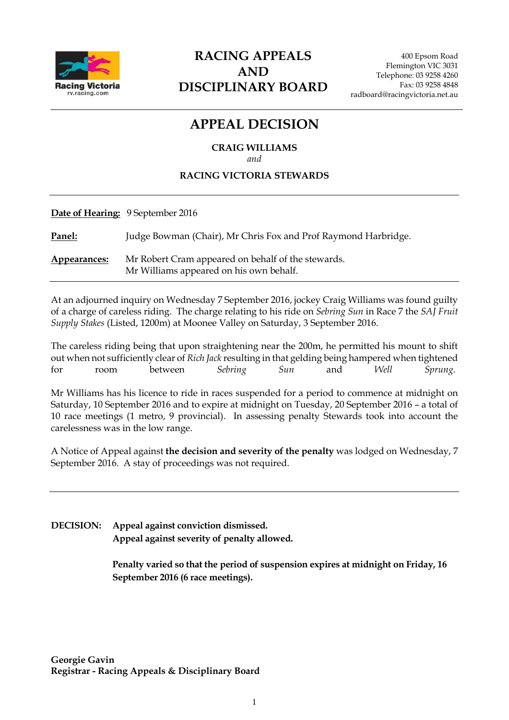

# **RACING APPEALS AND DISCIPLINARY BOARD**

# **APPEAL DECISION**

**CRAIG WILLIAMS** *and*

### **RACING VICTORIA STEWARDS**

**Date of Hearing:** 9 September 2016

**Panel:** Judge Bowman (Chair), Mr Chris Fox and Prof Raymond Harbridge.

**Appearances:** Mr Robert Cram appeared on behalf of the stewards. Mr Williams appeared on his own behalf.

At an adjourned inquiry on Wednesday 7 September 2016, jockey Craig Williams was found guilty of a charge of careless riding. The charge relating to his ride on *Sebring Sun* in Race 7 the *SAJ Fruit Supply Stakes* (Listed, 1200m) at Moonee Valley on Saturday, 3 September 2016.

The careless riding being that upon straightening near the 200m, he permitted his mount to shift out when not sufficiently clear of *Rich Jack* resulting in that gelding being hampered when tightened for room between *Sebring Sun* and *Well Sprung.*

Mr Williams has his licence to ride in races suspended for a period to commence at midnight on Saturday, 10 September 2016 and to expire at midnight on Tuesday, 20 September 2016 – a total of 10 race meetings (1 metro, 9 provincial). In assessing penalty Stewards took into account the carelessness was in the low range.

A Notice of Appeal against **the decision and severity of the penalty** was lodged on Wednesday, 7 September 2016. A stay of proceedings was not required.

**DECISION: Appeal against conviction dismissed. Appeal against severity of penalty allowed.** 

> **Penalty varied so that the period of suspension expires at midnight on Friday, 16 September 2016 (6 race meetings).**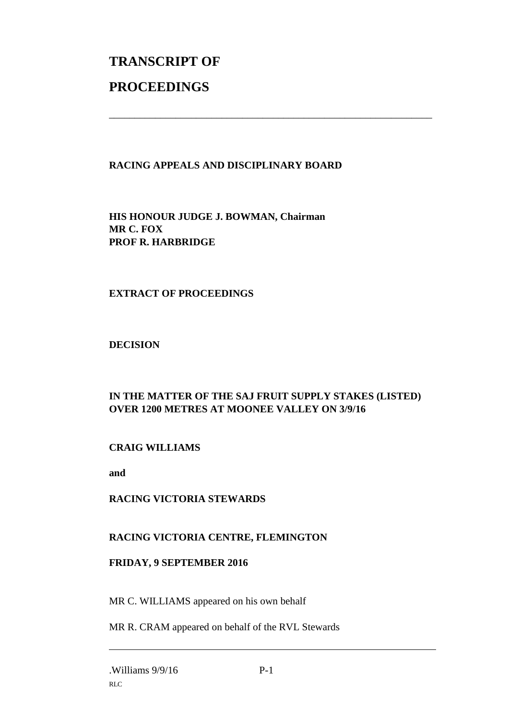# **TRANSCRIPT OF PROCEEDINGS**

# **RACING APPEALS AND DISCIPLINARY BOARD**

\_\_\_\_\_\_\_\_\_\_\_\_\_\_\_\_\_\_\_\_\_\_\_\_\_\_\_\_\_\_\_\_\_\_\_\_\_\_\_\_\_\_\_\_\_\_\_\_\_\_\_\_\_\_\_\_\_\_\_\_\_\_\_

**HIS HONOUR JUDGE J. BOWMAN, Chairman MR C. FOX PROF R. HARBRIDGE**

### **EXTRACT OF PROCEEDINGS**

#### **DECISION**

# **IN THE MATTER OF THE SAJ FRUIT SUPPLY STAKES (LISTED) OVER 1200 METRES AT MOONEE VALLEY ON 3/9/16**

# **CRAIG WILLIAMS**

**and** 

#### **RACING VICTORIA STEWARDS**

# **RACING VICTORIA CENTRE, FLEMINGTON**

#### **FRIDAY, 9 SEPTEMBER 2016**

MR C. WILLIAMS appeared on his own behalf

MR R. CRAM appeared on behalf of the RVL Stewards